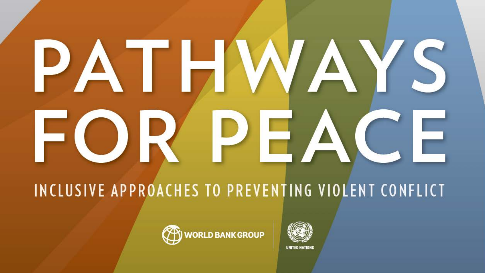# DA OD R

INCLUSIVE APPROACHES TO PREVENTING VIOLENT CONFLICT



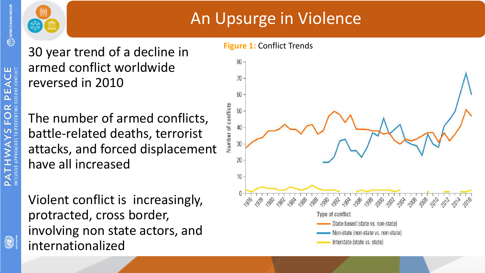

tu t

### An Upsurge in Violence

30 year trend of a decline in armed conflict worldwide reversed in 2010

The number of armed conflicts, battle-related deaths, terrorist attacks, and forced displacement have all increased

Violent conflict is increasingly, protracted, cross border, involving non state actors, and internationalized

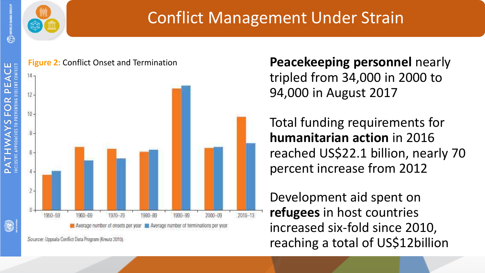



### Conflict Management Under Strain



**Peacekeeping personnel nearly** tripled from 34,000 in 2000 to 94,000 in August 2017

Total funding requirements for **humanitarian action** in 2016 reached US\$22.1 billion, nearly 70 percent increase from 2012

Development aid spent on **refugees** in host countries increased six-fold since 2010, reaching a total of US\$12billion

Source: Uppsala Conflict Data Program (Kreutz 2010).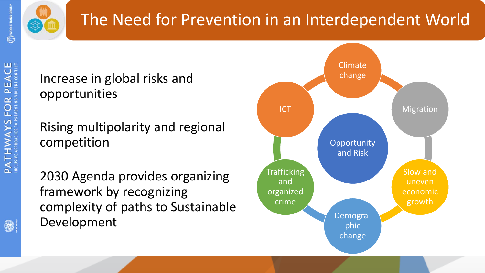



## The Need for Prevention in an Interdependent World

### Increase in global risks and opportunities

Rising multipolarity and regional competition

2030 Agenda provides organizing framework by recognizing complexity of paths to Sustainable Development

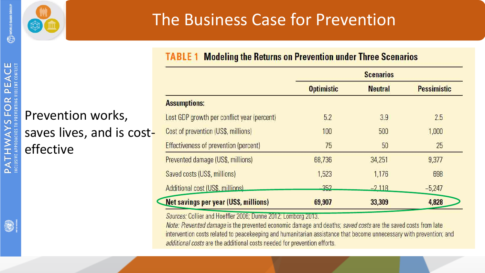



effective

Prevention works,

saves lives, and is cost-

### The Business Case for Prevention

**TABLE 1 Modeling the Returns on Prevention under Three Scenarios** 

|                                              | <b>Scenarios</b>     |                |                    |
|----------------------------------------------|----------------------|----------------|--------------------|
|                                              | <b>Optimistic</b>    | <b>Neutral</b> | <b>Pessimistic</b> |
| <b>Assumptions:</b>                          |                      |                |                    |
| Lost GDP growth per conflict year (percent)  | 5.2                  | 3.9            | 2.5                |
| Cost of prevention (US\$, millions)          | 100                  | 500            | 1,000              |
| <b>Effectiveness of prevention (percent)</b> | 75                   | 50             | 25                 |
| <b>Prevented damage (US\$, millions)</b>     | 68,736               | 34,251         | 9,377              |
| Saved costs (US\$, millions)                 | 1,523                | 1,176          | 698                |
| Additional cost (US\$, millions)             | 252<br><b>MARGET</b> | $-2118$        | $-5,247$           |
| <b>Net savings per year (USS, millions)</b>  | 69,907               | 33,309         | 4,828              |

Sources: Collier and Hoeffler 2006; Dunne 2012; Lomborg 2013.

Note: Prevented damage is the prevented economic damage and deaths; saved costs are the saved costs from late intervention costs related to peacekeeping and humanitarian assistance that become unnecessary with prevention; and additional costs are the additional costs needed for prevention efforts.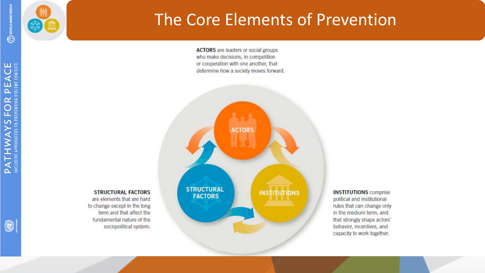

円目

 $\Omega$ 



**STRUCTURAL FACTORS** 

are elements that are hard

fundamental nature of the

sociopolitical system.

to change except in the long term and that affect the

### The Core Elements of Prevention

**ACTORS** are leaders or social groups who make decisions, in competition or cooperation with one another, that determine how a society moves forward.



#### **INSTITUTIONS** comprise political and institutional rules that can change only in the medium term, and that strongly shape actors' behavior, incentives, and capacity to work together.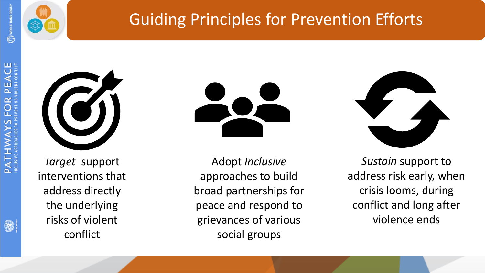



# Guiding Principles for Prevention Efforts



*Target* support interventions that address directly the underlying risks of violent conflict

Adopt *Inclusive*  approaches to build broad partnerships for peace and respond to grievances of various social groups



*Sustain* support to address risk early, when crisis looms, during conflict and long after violence ends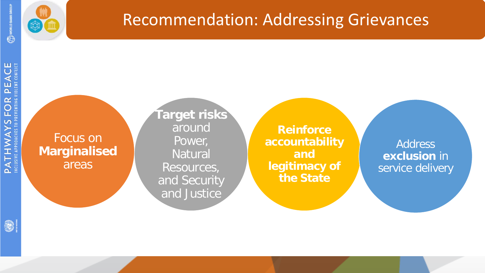



### Recommendation: Addressing Grievances

Focus on **Marginalised** areas

**Target risks**  around Power, Natural Resources, and Security and Justice

**Reinforce accountability and legitimacy of the State**

Address **exclusion** in service delivery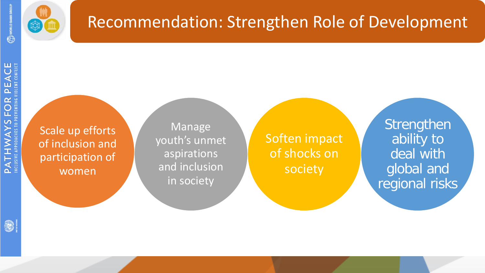



### Recommendation: Strengthen Role of Development

**Manage** 

youth's unmet

aspirations

and inclusion

in society

Scale up efforts of inclusion and participation of women

Soften impact of shocks on society

**Strengthen** ability to deal with global and regional risks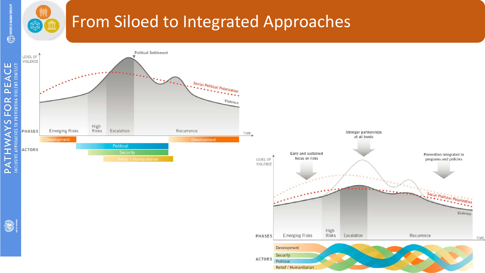## From Siloed to Integrated Approaches



國

皿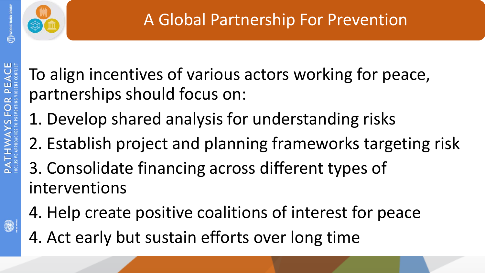



To align incentives of various actors working for peace, partnerships should focus on:

- 1. Develop shared analysis for understanding risks
- 2. Establish project and planning frameworks targeting risk
- 3. Consolidate financing across different types of interventions
- 4. Help create positive coalitions of interest for peace 4. Act early but sustain efforts over long time